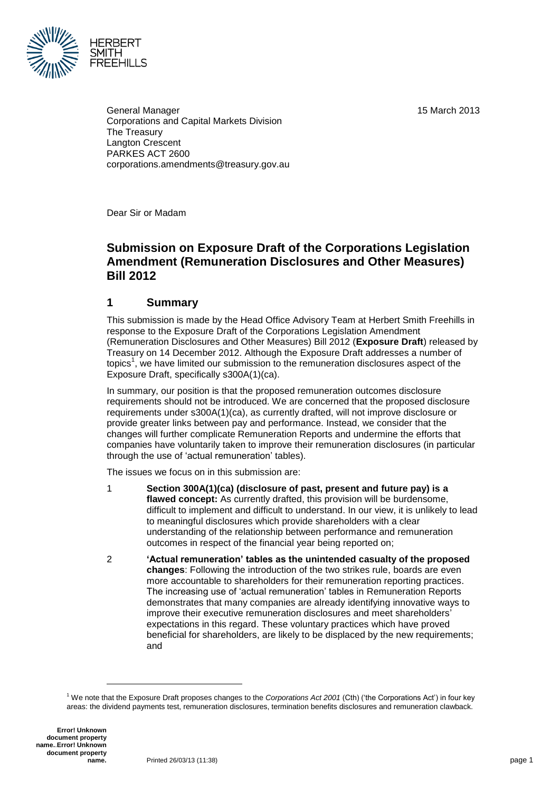15 March 2013



General Manager Corporations and Capital Markets Division The Treasury Langton Crescent PARKES ACT 2600 corporations.amendments@treasury.gov.au

Dear Sir or Madam

# **Submission on Exposure Draft of the Corporations Legislation Amendment (Remuneration Disclosures and Other Measures) Bill 2012**

## **1 Summary**

This submission is made by the Head Office Advisory Team at Herbert Smith Freehills in response to the Exposure Draft of the Corporations Legislation Amendment (Remuneration Disclosures and Other Measures) Bill 2012 (**Exposure Draft**) released by Treasury on 14 December 2012. Although the Exposure Draft addresses a number of topics<sup>1</sup>, we have limited our submission to the remuneration disclosures aspect of the Exposure Draft, specifically s300A(1)(ca).

In summary, our position is that the proposed remuneration outcomes disclosure requirements should not be introduced. We are concerned that the proposed disclosure requirements under s300A(1)(ca), as currently drafted, will not improve disclosure or provide greater links between pay and performance. Instead, we consider that the changes will further complicate Remuneration Reports and undermine the efforts that companies have voluntarily taken to improve their remuneration disclosures (in particular through the use of 'actual remuneration' tables).

The issues we focus on in this submission are:

- 1 **Section 300A(1)(ca) (disclosure of past, present and future pay) is a flawed concept:** As currently drafted, this provision will be burdensome, difficult to implement and difficult to understand. In our view, it is unlikely to lead to meaningful disclosures which provide shareholders with a clear understanding of the relationship between performance and remuneration outcomes in respect of the financial year being reported on;
- 2 **'Actual remuneration' tables as the unintended casualty of the proposed changes**: Following the introduction of the two strikes rule, boards are even more accountable to shareholders for their remuneration reporting practices. The increasing use of 'actual remuneration' tables in Remuneration Reports demonstrates that many companies are already identifying innovative ways to improve their executive remuneration disclosures and meet shareholders' expectations in this regard. These voluntary practices which have proved beneficial for shareholders, are likely to be displaced by the new requirements; and

l

<sup>1</sup> We note that the Exposure Draft proposes changes to the *Corporations Act 2001* (Cth) ('the Corporations Act') in four key areas: the dividend payments test, remuneration disclosures, termination benefits disclosures and remuneration clawback.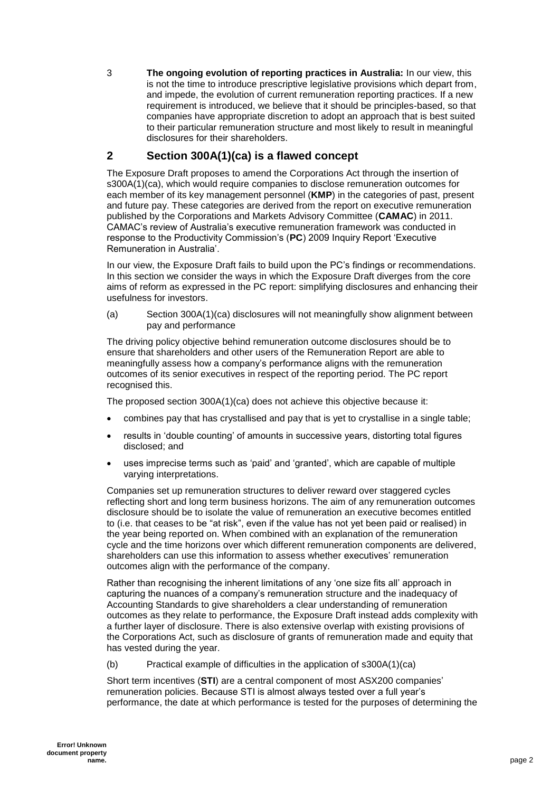3 **The ongoing evolution of reporting practices in Australia:** In our view, this is not the time to introduce prescriptive legislative provisions which depart from, and impede, the evolution of current remuneration reporting practices. If a new requirement is introduced, we believe that it should be principles-based, so that companies have appropriate discretion to adopt an approach that is best suited to their particular remuneration structure and most likely to result in meaningful disclosures for their shareholders.

#### **2 Section 300A(1)(ca) is a flawed concept**

The Exposure Draft proposes to amend the Corporations Act through the insertion of s300A(1)(ca), which would require companies to disclose remuneration outcomes for each member of its key management personnel (**KMP**) in the categories of past, present and future pay. These categories are derived from the report on executive remuneration published by the Corporations and Markets Advisory Committee (**CAMAC**) in 2011. CAMAC's review of Australia's executive remuneration framework was conducted in response to the Productivity Commission's (**PC**) 2009 Inquiry Report 'Executive Remuneration in Australia'.

In our view, the Exposure Draft fails to build upon the PC's findings or recommendations. In this section we consider the ways in which the Exposure Draft diverges from the core aims of reform as expressed in the PC report: simplifying disclosures and enhancing their usefulness for investors.

(a) Section 300A(1)(ca) disclosures will not meaningfully show alignment between pay and performance

The driving policy objective behind remuneration outcome disclosures should be to ensure that shareholders and other users of the Remuneration Report are able to meaningfully assess how a company's performance aligns with the remuneration outcomes of its senior executives in respect of the reporting period. The PC report recognised this.

The proposed section 300A(1)(ca) does not achieve this objective because it:

- combines pay that has crystallised and pay that is yet to crystallise in a single table;
- results in 'double counting' of amounts in successive years, distorting total figures disclosed; and
- uses imprecise terms such as 'paid' and 'granted', which are capable of multiple varying interpretations.

Companies set up remuneration structures to deliver reward over staggered cycles reflecting short and long term business horizons. The aim of any remuneration outcomes disclosure should be to isolate the value of remuneration an executive becomes entitled to (i.e. that ceases to be "at risk", even if the value has not yet been paid or realised) in the year being reported on. When combined with an explanation of the remuneration cycle and the time horizons over which different remuneration components are delivered, shareholders can use this information to assess whether executives' remuneration outcomes align with the performance of the company.

Rather than recognising the inherent limitations of any 'one size fits all' approach in capturing the nuances of a company's remuneration structure and the inadequacy of Accounting Standards to give shareholders a clear understanding of remuneration outcomes as they relate to performance, the Exposure Draft instead adds complexity with a further layer of disclosure. There is also extensive overlap with existing provisions of the Corporations Act, such as disclosure of grants of remuneration made and equity that has vested during the year.

(b) Practical example of difficulties in the application of s300A(1)(ca)

Short term incentives (**STI**) are a central component of most ASX200 companies' remuneration policies. Because STI is almost always tested over a full year's performance, the date at which performance is tested for the purposes of determining the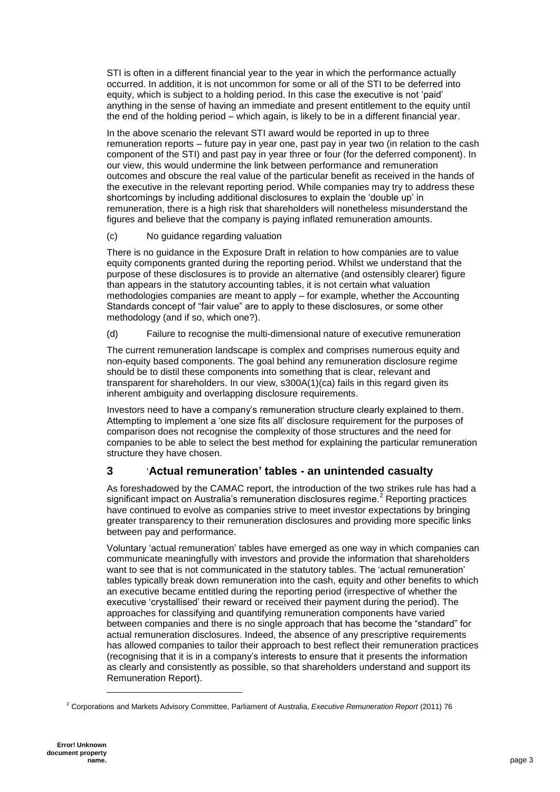STI is often in a different financial year to the year in which the performance actually occurred. In addition, it is not uncommon for some or all of the STI to be deferred into equity, which is subject to a holding period. In this case the executive is not 'paid' anything in the sense of having an immediate and present entitlement to the equity until the end of the holding period – which again, is likely to be in a different financial year.

In the above scenario the relevant STI award would be reported in up to three remuneration reports – future pay in year one, past pay in year two (in relation to the cash component of the STI) and past pay in year three or four (for the deferred component). In our view, this would undermine the link between performance and remuneration outcomes and obscure the real value of the particular benefit as received in the hands of the executive in the relevant reporting period. While companies may try to address these shortcomings by including additional disclosures to explain the 'double up' in remuneration, there is a high risk that shareholders will nonetheless misunderstand the figures and believe that the company is paying inflated remuneration amounts.

(c) No guidance regarding valuation

There is no guidance in the Exposure Draft in relation to how companies are to value equity components granted during the reporting period. Whilst we understand that the purpose of these disclosures is to provide an alternative (and ostensibly clearer) figure than appears in the statutory accounting tables, it is not certain what valuation methodologies companies are meant to apply – for example, whether the Accounting Standards concept of "fair value" are to apply to these disclosures, or some other methodology (and if so, which one?).

(d) Failure to recognise the multi-dimensional nature of executive remuneration

The current remuneration landscape is complex and comprises numerous equity and non-equity based components. The goal behind any remuneration disclosure regime should be to distil these components into something that is clear, relevant and transparent for shareholders. In our view, s300A(1)(ca) fails in this regard given its inherent ambiguity and overlapping disclosure requirements.

Investors need to have a company's remuneration structure clearly explained to them. Attempting to implement a 'one size fits all' disclosure requirement for the purposes of comparison does not recognise the complexity of those structures and the need for companies to be able to select the best method for explaining the particular remuneration structure they have chosen.

## **3** '**Actual remuneration' tables - an unintended casualty**

As foreshadowed by the CAMAC report, the introduction of the two strikes rule has had a significant impact on Australia's remuneration disclosures regime.<sup>2</sup> Reporting practices have continued to evolve as companies strive to meet investor expectations by bringing greater transparency to their remuneration disclosures and providing more specific links between pay and performance.

Voluntary 'actual remuneration' tables have emerged as one way in which companies can communicate meaningfully with investors and provide the information that shareholders want to see that is not communicated in the statutory tables. The 'actual remuneration' tables typically break down remuneration into the cash, equity and other benefits to which an executive became entitled during the reporting period (irrespective of whether the executive 'crystallised' their reward or received their payment during the period). The approaches for classifying and quantifying remuneration components have varied between companies and there is no single approach that has become the "standard" for actual remuneration disclosures. Indeed, the absence of any prescriptive requirements has allowed companies to tailor their approach to best reflect their remuneration practices (recognising that it is in a company's interests to ensure that it presents the information as clearly and consistently as possible, so that shareholders understand and support its Remuneration Report).

l

<sup>2</sup> Corporations and Markets Advisory Committee, Parliament of Australia, *Executive Remuneration Report* (2011) 76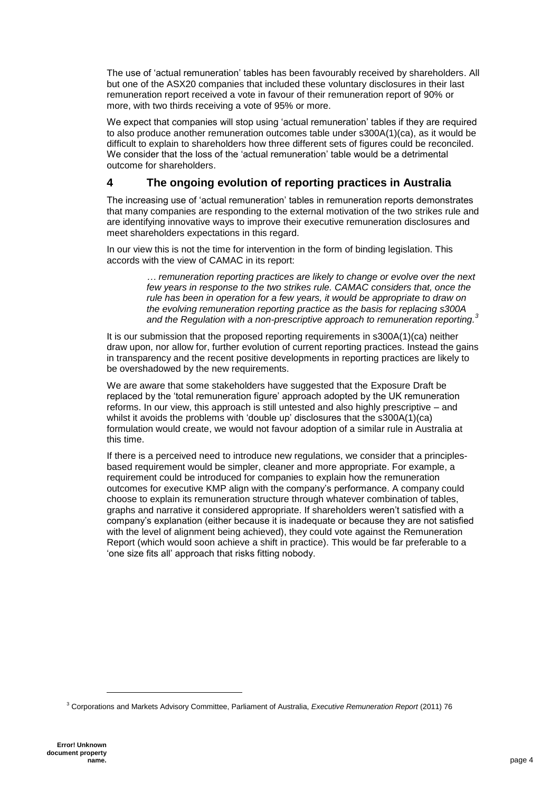The use of 'actual remuneration' tables has been favourably received by shareholders. All but one of the ASX20 companies that included these voluntary disclosures in their last remuneration report received a vote in favour of their remuneration report of 90% or more, with two thirds receiving a vote of 95% or more.

We expect that companies will stop using 'actual remuneration' tables if they are required to also produce another remuneration outcomes table under s300A(1)(ca), as it would be difficult to explain to shareholders how three different sets of figures could be reconciled. We consider that the loss of the 'actual remuneration' table would be a detrimental outcome for shareholders.

#### **4 The ongoing evolution of reporting practices in Australia**

The increasing use of 'actual remuneration' tables in remuneration reports demonstrates that many companies are responding to the external motivation of the two strikes rule and are identifying innovative ways to improve their executive remuneration disclosures and meet shareholders expectations in this regard.

In our view this is not the time for intervention in the form of binding legislation. This accords with the view of CAMAC in its report:

> *… remuneration reporting practices are likely to change or evolve over the next few years in response to the two strikes rule. CAMAC considers that, once the rule has been in operation for a few years, it would be appropriate to draw on the evolving remuneration reporting practice as the basis for replacing s300A and the Regulation with a non-prescriptive approach to remuneration reporting. 3*

It is our submission that the proposed reporting requirements in s300A(1)(ca) neither draw upon, nor allow for, further evolution of current reporting practices. Instead the gains in transparency and the recent positive developments in reporting practices are likely to be overshadowed by the new requirements.

We are aware that some stakeholders have suggested that the Exposure Draft be replaced by the 'total remuneration figure' approach adopted by the UK remuneration reforms. In our view, this approach is still untested and also highly prescriptive – and whilst it avoids the problems with 'double up' disclosures that the s300A(1)(ca) formulation would create, we would not favour adoption of a similar rule in Australia at this time.

If there is a perceived need to introduce new regulations, we consider that a principlesbased requirement would be simpler, cleaner and more appropriate. For example, a requirement could be introduced for companies to explain how the remuneration outcomes for executive KMP align with the company's performance. A company could choose to explain its remuneration structure through whatever combination of tables, graphs and narrative it considered appropriate. If shareholders weren't satisfied with a company's explanation (either because it is inadequate or because they are not satisfied with the level of alignment being achieved), they could vote against the Remuneration Report (which would soon achieve a shift in practice). This would be far preferable to a 'one size fits all' approach that risks fitting nobody.

l

<sup>3</sup> Corporations and Markets Advisory Committee, Parliament of Australia, *Executive Remuneration Report* (2011) 76